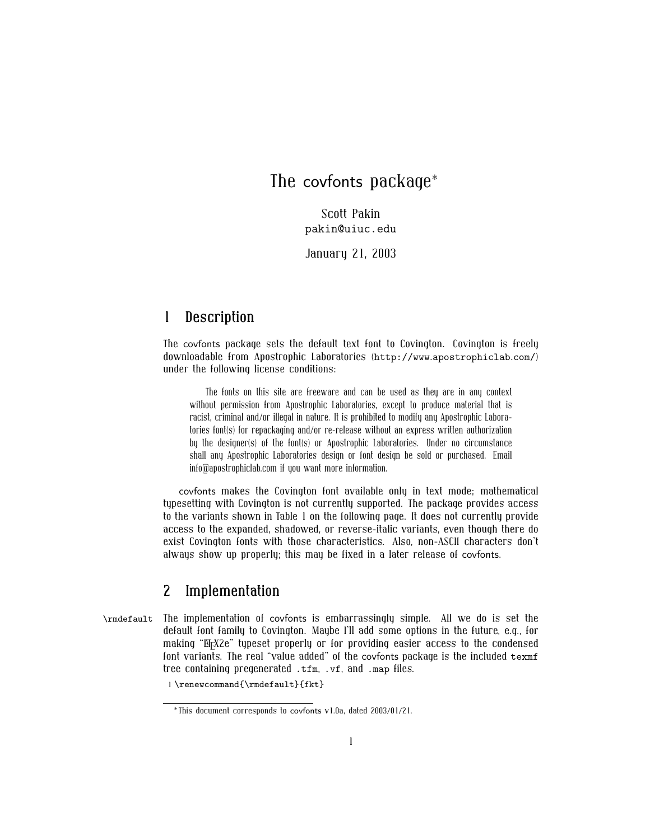## The covfonts package<sup>∗</sup>

Scott Pakin pakin@uiuc.edu

January 21, 2003

## **1 Description**

The covfonts package sets the default text font to Covington. Covington is freely downloadable from Apostrophic Laboratories (http://www.apostrophiclab.com/) under the following license conditions:

The fonts on this site are freeware and can be used as they are in any context without permission from Apostrophic Laboratories, except to produce material that is racist, criminal and/or illegal in nature. It is prohibited to modify any Apostrophic Laboratories font(s) for repackaging and/or re-release without an express written authorization by the designer(s) of the font(s) or Apostrophic Laboratories. Under no circumstance shall any Apostrophic Laboratories design or font design be sold or purchased. Email info@apostrophiclab.com if you want more information.

covfonts makes the Covington font available only in text mode; mathematical typesetting with Covington is not currently supported. The package provides access to the variants shown in Table 1 on the following page. It does not currently provide access to the expanded, shadowed, or reverse-italic variants, even though there do exist Covington fonts with those characteristics. Also, non-ASCII characters don't always show up properly; this may be fixed in a later release of covfonts.

## **2 Implementation**

\rmdefault The implementation of covfonts is embarrassingly simple. All we do is set the default font family to Covington. Maybe I'll add some options in the future, e.g., for making "EEX2e" typeset properly or for providing easier access to the condensed font variants. The real "value added" of the covfonts package is the included texmf tree containing pregenerated .tfm, .vf, and .map files.

1 \renewcommand{\rmdefault}{fkt}

<sup>∗</sup>This document corresponds to covfonts v1.0a, dated 2003/01/21.